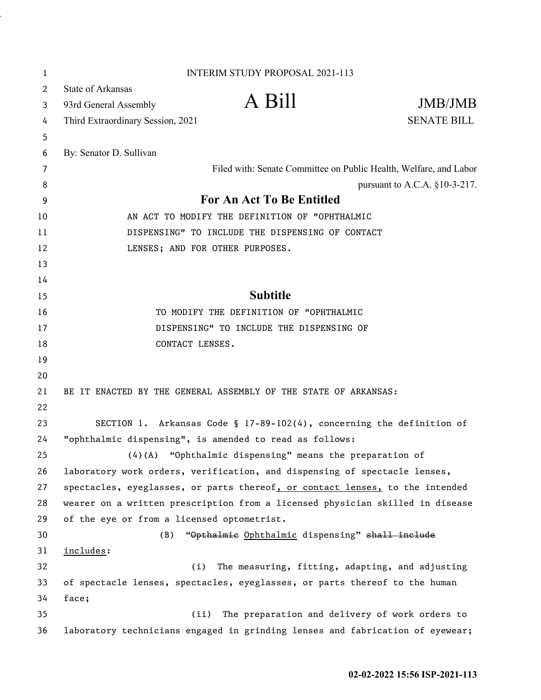| 1        | <b>INTERIM STUDY PROPOSAL 2021-113</b>                                        |
|----------|-------------------------------------------------------------------------------|
| 2        | <b>State of Arkansas</b>                                                      |
| 3        | A Bill<br>JMB/JMB<br>93rd General Assembly                                    |
| 4        | <b>SENATE BILL</b><br>Third Extraordinary Session, 2021                       |
| 5        |                                                                               |
| 6        | By: Senator D. Sullivan                                                       |
| 7        | Filed with: Senate Committee on Public Health, Welfare, and Labor             |
| 8        | pursuant to A.C.A. $§10-3-217$ .                                              |
| 9        | For An Act To Be Entitled                                                     |
| 10       | AN ACT TO MODIFY THE DEFINITION OF "OPHTHALMIC                                |
| 11       | DISPENSING" TO INCLUDE THE DISPENSING OF CONTACT                              |
| 12       | LENSES; AND FOR OTHER PURPOSES.                                               |
| 13       |                                                                               |
| 14       |                                                                               |
| 15       | <b>Subtitle</b>                                                               |
| 16       | TO MODIFY THE DEFINITION OF "OPHTHALMIC                                       |
| 17       | DISPENSING" TO INCLUDE THE DISPENSING OF                                      |
| 18       | CONTACT LENSES.                                                               |
| 19       |                                                                               |
| 20<br>21 |                                                                               |
| 22       | BE IT ENACTED BY THE GENERAL ASSEMBLY OF THE STATE OF ARKANSAS:               |
| 23       | SECTION 1. Arkansas Code § 17-89-102(4), concerning the definition of         |
| 24       | "ophthalmic dispensing", is amended to read as follows:                       |
| 25       | (4)(A) "Ophthalmic dispensing" means the preparation of                       |
| 26       | laboratory work orders, verification, and dispensing of spectacle lenses,     |
| 27       | spectacles, eyeglasses, or parts thereof, or contact lenses, to the intended  |
| 28       | wearer on a written prescription from a licensed physician skilled in disease |
| 29       | of the eye or from a licensed optometrist.                                    |
| 30       | "Opthalmie Ophthalmic dispensing" shall include<br>(B)                        |
| 31       | includes:                                                                     |
| 32       | The measuring, fitting, adapting, and adjusting<br>(i)                        |
| 33       | of spectacle lenses, spectacles, eyeglasses, or parts thereof to the human    |
| 34       | face;                                                                         |
| 35       | The preparation and delivery of work orders to<br>(ii)                        |
| 36       | laboratory technicians engaged in grinding lenses and fabrication of eyewear; |